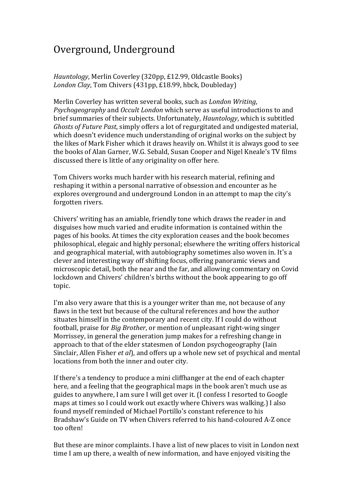## Overground, Underground

## *Hauntology*, Merlin Coverley (320pp, £12.99, Oldcastle Books) *London Clay*, Tom Chivers (431pp, £18.99, hbck, Doubleday)

Merlin Coverley has written several books, such as *London Writing*, *Psychogeography* and *Occult London* which serve as useful introductions to and brief summaries of their subjects. Unfortunately, *Hauntology*, which is subtitled *Ghosts of Future Past*, simply offers a lot of regurgitated and undigested material, which doesn't evidence much understanding of original works on the subject by the likes of Mark Fisher which it draws heavily on. Whilst it is always good to see the books of Alan Garner, W.G. Sebald, Susan Cooper and Nigel Kneale's TV films discussed there is little of any originality on offer here.

Tom Chivers works much harder with his research material, refining and reshaping it within a personal narrative of obsession and encounter as he explores overground and underground London in an attempt to map the city's forgotten rivers.

Chivers' writing has an amiable, friendly tone which draws the reader in and disguises how much varied and erudite information is contained within the pages of his books. At times the city exploration ceases and the book becomes philosophical, elegaic and highly personal; elsewhere the writing offers historical and geographical material, with autobiography sometimes also woven in. It's a clever and interesting way off shifting focus, offering panoramic views and microscopic detail, both the near and the far, and allowing commentary on Covid lockdown and Chivers' children's births without the book appearing to go off topic.

I'm also very aware that this is a younger writer than me, not because of any flaws in the text but because of the cultural references and how the author situates himself in the contemporary and recent city. If I could do without football, praise for *Big Brother*, or mention of unpleasant right-wing singer Morrissey, in general the generation jump makes for a refreshing change in approach to that of the elder statesmen of London psychogeography (Iain Sinclair, Allen Fisher *et al*), and offers up a whole new set of psychical and mental locations from both the inner and outer city.

If there's a tendency to produce a mini cliffhanger at the end of each chapter here, and a feeling that the geographical maps in the book aren't much use as guides to anywhere, I am sure I will get over it. (I confess I resorted to Google maps at times so I could work out exactly where Chivers was walking.) I also found myself reminded of Michael Portillo's constant reference to his Bradshaw's Guide on TV when Chivers referred to his hand-coloured A-Z once too often!

But these are minor complaints. I have a list of new places to visit in London next time I am up there, a wealth of new information, and have enjoyed visiting the